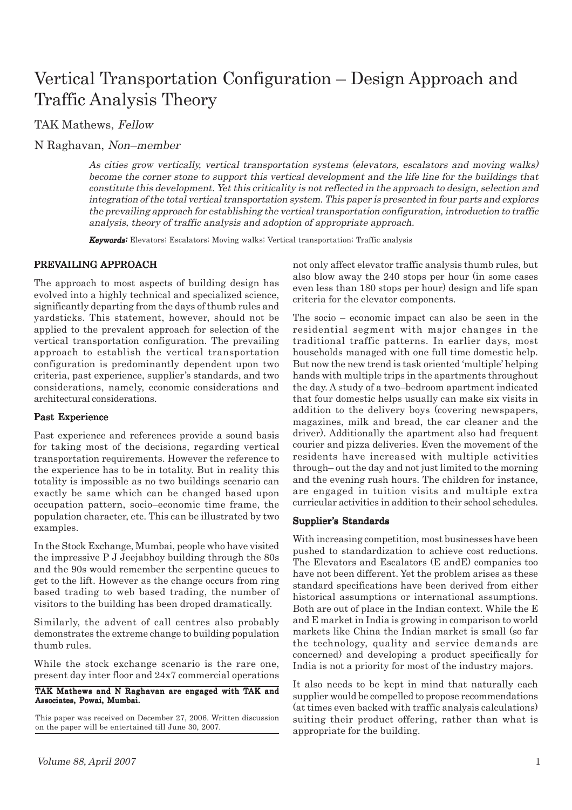# Vertical Transportation Configuration – Design Approach and Traffic Analysis Theory

TAK Mathews, Fellow

N Raghavan, Non–member

As cities grow vertically, vertical transportation systems (elevators, escalators and moving walks) become the corner stone to support this vertical development and the life line for the buildings that constitute this development. Yet this criticality is not reflected in the approach to design, selection and integration of the total vertical transportation system. This paper is presented in four parts and explores the prevailing approach for establishing the vertical transportation configuration, introduction to traffic analysis, theory of traffic analysis and adoption of appropriate approach.

Keywords: Elevators; Escalators; Moving walks; Vertical transportation; Traffic analysis

## PREVAILING APPROACH

The approach to most aspects of building design has evolved into a highly technical and specialized science, significantly departing from the days of thumb rules and yardsticks. This statement, however, should not be applied to the prevalent approach for selection of the vertical transportation configuration. The prevailing approach to establish the vertical transportation configuration is predominantly dependent upon two criteria, past experience, supplier's standards, and two considerations, namely, economic considerations and architectural considerations.

#### Past Experience

Past experience and references provide a sound basis for taking most of the decisions, regarding vertical transportation requirements. However the reference to the experience has to be in totality. But in reality this totality is impossible as no two buildings scenario can exactly be same which can be changed based upon occupation pattern, socio–economic time frame, the population character, etc. This can be illustrated by two examples.

In the Stock Exchange, Mumbai, people who have visited the impressive P J Jeejabhoy building through the 80s and the 90s would remember the serpentine queues to get to the lift. However as the change occurs from ring based trading to web based trading, the number of visitors to the building has been droped dramatically.

Similarly, the advent of call centres also probably demonstrates the extreme change to building population thumb rules.

While the stock exchange scenario is the rare one, present day inter floor and 24x7 commercial operations

#### TAK Mathews and N Raghavan are engaged with TAK and Associates, Powai, Mumbai.

This paper was received on December 27, 2006. Written discussion on the paper will be entertained till June 30, 2007.

not only affect elevator traffic analysis thumb rules, but also blow away the 240 stops per hour (in some cases even less than 180 stops per hour) design and life span criteria for the elevator components.

The socio – economic impact can also be seen in the residential segment with major changes in the traditional traffic patterns. In earlier days, most households managed with one full time domestic help. But now the new trend is task oriented 'multiple' helping hands with multiple trips in the apartments throughout the day. A study of a two–bedroom apartment indicated that four domestic helps usually can make six visits in addition to the delivery boys (covering newspapers, magazines, milk and bread, the car cleaner and the driver). Additionally the apartment also had frequent courier and pizza deliveries. Even the movement of the residents have increased with multiple activities through– out the day and not just limited to the morning and the evening rush hours. The children for instance, are engaged in tuition visits and multiple extra curricular activities in addition to their school schedules.

#### Supplier's Standards

With increasing competition, most businesses have been pushed to standardization to achieve cost reductions. The Elevators and Escalators (E andE) companies too have not been different. Yet the problem arises as these standard specifications have been derived from either historical assumptions or international assumptions. Both are out of place in the Indian context. While the E and E market in India is growing in comparison to world markets like China the Indian market is small (so far the technology, quality and service demands are concerned) and developing a product specifically for India is not a priority for most of the industry majors.

It also needs to be kept in mind that naturally each supplier would be compelled to propose recommendations (at times even backed with traffic analysis calculations) suiting their product offering, rather than what is appropriate for the building.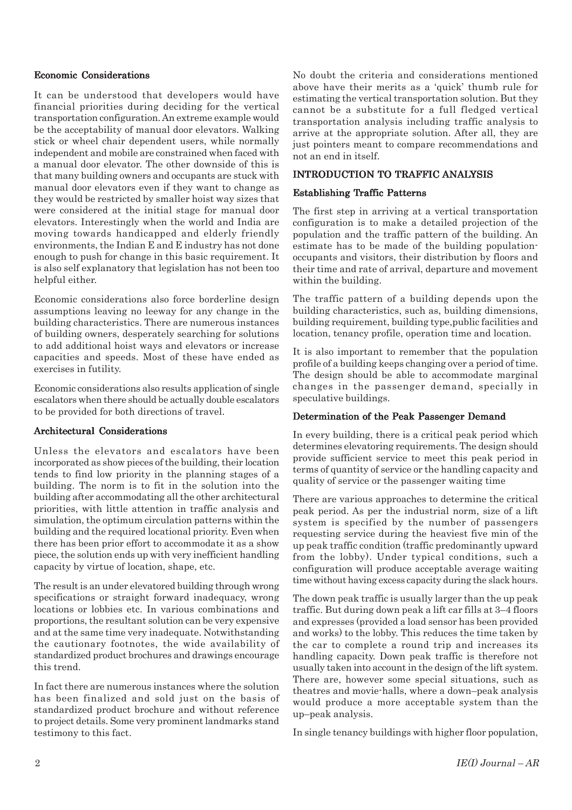#### Economic Considerations

It can be understood that developers would have financial priorities during deciding for the vertical transportation configuration. An extreme example would be the acceptability of manual door elevators. Walking stick or wheel chair dependent users, while normally independent and mobile are constrained when faced with a manual door elevator. The other downside of this is that many building owners and occupants are stuck with manual door elevators even if they want to change as they would be restricted by smaller hoist way sizes that were considered at the initial stage for manual door elevators. Interestingly when the world and India are moving towards handicapped and elderly friendly environments, the Indian E and E industry has not done enough to push for change in this basic requirement. It is also self explanatory that legislation has not been too helpful either.

Economic considerations also force borderline design assumptions leaving no leeway for any change in the building characteristics. There are numerous instances of building owners, desperately searching for solutions to add additional hoist ways and elevators or increase capacities and speeds. Most of these have ended as exercises in futility.

Economic considerations also results application of single escalators when there should be actually double escalators to be provided for both directions of travel.

## Architectural Considerations

Unless the elevators and escalators have been incorporated as show pieces of the building, their location tends to find low priority in the planning stages of a building. The norm is to fit in the solution into the building after accommodating all the other architectural priorities, with little attention in traffic analysis and simulation, the optimum circulation patterns within the building and the required locational priority. Even when there has been prior effort to accommodate it as a show piece, the solution ends up with very inefficient handling capacity by virtue of location, shape, etc.

The result is an under elevatored building through wrong specifications or straight forward inadequacy, wrong locations or lobbies etc. In various combinations and proportions, the resultant solution can be very expensive and at the same time very inadequate. Notwithstanding the cautionary footnotes, the wide availability of standardized product brochures and drawings encourage this trend.

In fact there are numerous instances where the solution has been finalized and sold just on the basis of standardized product brochure and without reference to project details. Some very prominent landmarks stand testimony to this fact.

No doubt the criteria and considerations mentioned above have their merits as a 'quick' thumb rule for estimating the vertical transportation solution. But they cannot be a substitute for a full fledged vertical transportation analysis including traffic analysis to arrive at the appropriate solution. After all, they are just pointers meant to compare recommendations and not an end in itself.

## INTRODUCTION TO TRAFFIC ANALYSIS

## Establishing Traffic Patterns

The first step in arriving at a vertical transportation configuration is to make a detailed projection of the population and the traffic pattern of the building. An estimate has to be made of the building populationoccupants and visitors, their distribution by floors and their time and rate of arrival, departure and movement within the building.

The traffic pattern of a building depends upon the building characteristics, such as, building dimensions, building requirement, building type,public facilities and location, tenancy profile, operation time and location.

It is also important to remember that the population profile of a building keeps changing over a period of time. The design should be able to accommodate marginal changes in the passenger demand, specially in speculative buildings.

## Determination of the Peak Passenger Demand

In every building, there is a critical peak period which determines elevatoring requirements. The design should provide sufficient service to meet this peak period in terms of quantity of service or the handling capacity and quality of service or the passenger waiting time

There are various approaches to determine the critical peak period. As per the industrial norm, size of a lift system is specified by the number of passengers requesting service during the heaviest five min of the up peak traffic condition (traffic predominantly upward from the lobby). Under typical conditions, such a configuration will produce acceptable average waiting time without having excess capacity during the slack hours.

The down peak traffic is usually larger than the up peak traffic. But during down peak a lift car fills at 3–4 floors and expresses (provided a load sensor has been provided and works) to the lobby. This reduces the time taken by the car to complete a round trip and increases its handling capacity. Down peak traffic is therefore not usually taken into account in the design of the lift system. There are, however some special situations, such as theatres and movie-halls, where a down–peak analysis would produce a more acceptable system than the up–peak analysis.

In single tenancy buildings with higher floor population,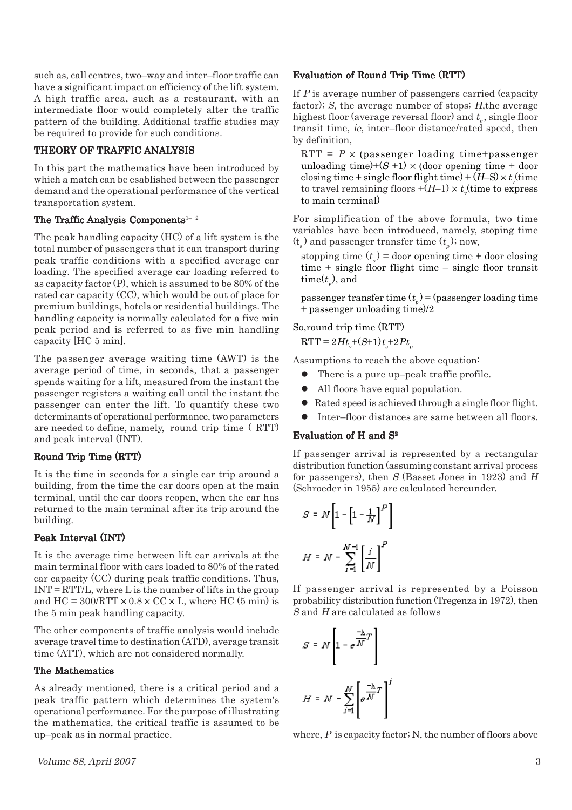such as, call centres, two–way and inter–floor traffic can have a significant impact on efficiency of the lift system. A high traffic area, such as a restaurant, with an intermediate floor would completely alter the traffic pattern of the building. Additional traffic studies may be required to provide for such conditions.

## THEORY OF TRAFFIC ANALYSIS

In this part the mathematics have been introduced by which a match can be esablished between the passenger demand and the operational performance of the vertical transportation system.

#### The Traffic Analysis Components<sup>1-2</sup>

The peak handling capacity (HC) of a lift system is the total number of passengers that it can transport during peak traffic conditions with a specified average car loading. The specified average car loading referred to as capacity factor (P), which is assumed to be 80% of the rated car capacity (CC), which would be out of place for premium buildings, hotels or residential buildings. The handling capacity is normally calculated for a five min peak period and is referred to as five min handling capacity [HC 5 min].

The passenger average waiting time (AWT) is the average period of time, in seconds, that a passenger spends waiting for a lift, measured from the instant the passenger registers a waiting call until the instant the passenger can enter the lift. To quantify these two determinants of operational performance, two parameters are needed to define, namely, round trip time ( RTT) and peak interval (INT).

## Round Trip Time (RTT)

It is the time in seconds for a single car trip around a building, from the time the car doors open at the main terminal, until the car doors reopen, when the car has returned to the main terminal after its trip around the building.

## Peak Interval (INT)

It is the average time between lift car arrivals at the main terminal floor with cars loaded to 80% of the rated car capacity (CC) during peak traffic conditions. Thus,  $INT = RTT/L$ , where L is the number of lifts in the group and  $HC = 300/RTT \times 0.8 \times CC \times L$ , where HC (5 min) is the 5 min peak handling capacity.

The other components of traffic analysis would include average travel time to destination (ATD), average transit time (ATT), which are not considered normally.

## The Mathematics

As already mentioned, there is a critical period and a peak traffic pattern which determines the system's operational performance. For the purpose of illustrating the mathematics, the critical traffic is assumed to be up–peak as in normal practice.

### Evaluation of Round Trip Time (RTT)

If P is average number of passengers carried (capacity factor); S, the average number of stops; H,the average highest floor (average reversal floor) and  $t_{_{\rm v}},$  single floor transit time, ie, inter–floor distance/rated speed, then by definition,

RTT =  $P \times$  (passenger loading time+passenger unloading time)+ $(S + 1) \times$  (door opening time + door closing time + single floor flight time) + (H–S)  $\times$  t<sub>v</sub>(time to travel remaining floors  $+(H$ –1)  $\times$   $t_v$ (time to express to main terminal)

For simplification of the above formula, two time variables have been introduced, namely, stoping time  $(t_{s})$  and passenger transfer time  $(t_{p})$ ; now,

stopping time  $(t<sub>s</sub>)$  = door opening time + door closing time + single floor flight time – single floor transit time( $t_{\rm v}$ ), and

passenger transfer time  $(t_p)$  = (passenger loading time + passenger unloading time)/2

So,round trip time (RTT)

 $RTT = 2Ht_v+(S+1)t_s+2Pt_p$ 

Assumptions to reach the above equation:

- $\bullet$  There is a pure up–peak traffic profile.
- All floors have equal population.
- Rated speed is achieved through a single floor flight.
- l Inter–floor distances are same between all floors.

## Evaluation of H and  $S<sup>2</sup>$

If passenger arrival is represented by a rectangular distribution function (assuming constant arrival process for passengers), then  $S$  (Basset Jones in 1923) and  $H$ (Schroeder in 1955) are calculated hereunder.

$$
S = N \left[ 1 - \left[ 1 - \frac{1}{N} \right]^P \right]
$$

$$
H = N - \sum_{i=1}^{N-1} \left[ \frac{i}{N} \right]^P
$$

If passenger arrival is represented by a Poisson probability distribution function (Tregenza in 1972), then S and H are calculated as follows

$$
S = N \left[ 1 - e^{\frac{-\lambda}{M}T} \right]
$$

$$
H = N - \sum_{j=1}^{N} \left[ e^{\frac{-\lambda}{M}T} \right]
$$

where,  $P$  is capacity factor; N, the number of floors above